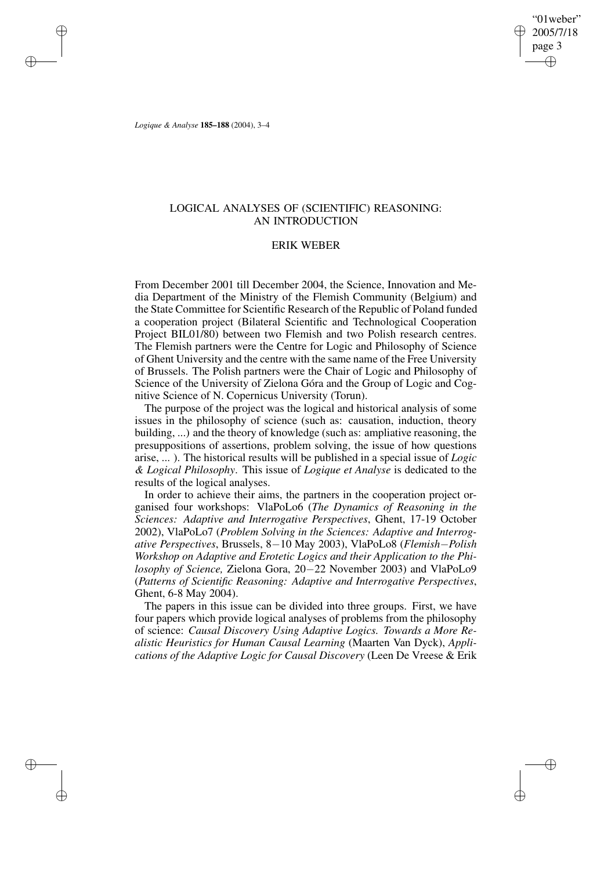"01weber" 2005/7/18 page 3 ✐ ✐

✐

✐

*Logique & Analyse* **185–188** (2004), 3–4

✐

✐

✐

✐

## LOGICAL ANALYSES OF (SCIENTIFIC) REASONING: AN INTRODUCTION

## ERIK WEBER

From December 2001 till December 2004, the Science, Innovation and Media Department of the Ministry of the Flemish Community (Belgium) and the State Committee for Scientific Research of the Republic of Poland funded a cooperation project (Bilateral Scientific and Technological Cooperation Project BIL01/80) between two Flemish and two Polish research centres. The Flemish partners were the Centre for Logic and Philosophy of Science of Ghent University and the centre with the same name of the Free University of Brussels. The Polish partners were the Chair of Logic and Philosophy of Science of the University of Zielona Góra and the Group of Logic and Cognitive Science of N. Copernicus University (Torun).

The purpose of the project was the logical and historical analysis of some issues in the philosophy of science (such as: causation, induction, theory building, ...) and the theory of knowledge (such as: ampliative reasoning, the presuppositions of assertions, problem solving, the issue of how questions arise, ... ). The historical results will be published in a special issue of *Logic & Logical Philosophy*. This issue of *Logique et Analyse* is dedicated to the results of the logical analyses.

In order to achieve their aims, the partners in the cooperation project organised four workshops: VlaPoLo6 (*The Dynamics of Reasoning in the Sciences: Adaptive and Interrogative Perspectives*, Ghent, 17-19 October 2002), VlaPoLo7 (*Problem Solving in the Sciences: Adaptive and Interrogative Perspectives*, Brussels, 8−10 May 2003), VlaPoLo8 (*Flemish*−*Polish Workshop on Adaptive and Erotetic Logics and their Application to the Philosophy of Science,* Zielona Gora, 20−22 November 2003) and VlaPoLo9 (*Patterns of Scientific Reasoning: Adaptive and Interrogative Perspectives*, Ghent, 6-8 May 2004).

The papers in this issue can be divided into three groups. First, we have four papers which provide logical analyses of problems from the philosophy of science: *Causal Discovery Using Adaptive Logics. Towards a More Realistic Heuristics for Human Causal Learning* (Maarten Van Dyck), *Applications of the Adaptive Logic for Causal Discovery* (Leen De Vreese & Erik